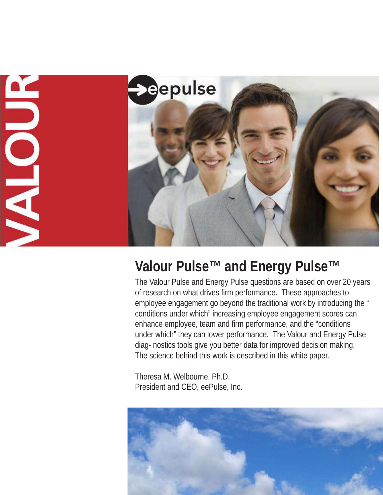

# **Valour Pulse and Energy Pulse™ ™**

The Valour Pulse and Energy Pulse questions are based on over 20 years of research on what drives firm performance. These approaches to employee engagement go beyond the traditional work by introducing the " conditions under which" increasing employee engagement scores can enhance employee, team and firm performance, and the "conditions under which" they can lower performance. The Valour and Energy Pulse diag- nostics tools give you better data for improved decision making. The science behind this work is described in this white paper.

Theresa M. Welbourne, Ph.D. President and CEO, eePulse, Inc.

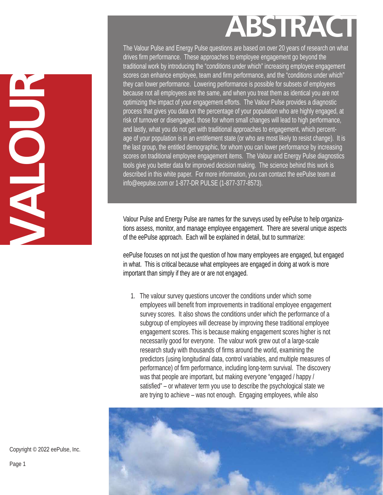# **ABSTRACT**

The Valour Pulse and Energy Pulse questions are based on over 20 years of research on what drives firm performance. These approaches to employee engagement go beyond the traditional work by introducing the "conditions under which" increasing employee engagement scores can enhance employee, team and firm performance, and the "conditions under which" they can lower performance. Lowering performance is possible for subsets of employees because not all employees are the same, and when you treat them as identical you are not optimizing the impact of your engagement efforts. The Valour Pulse provides a diagnostic process that gives you data on the percentage of your population who are highly engaged, at risk of turnover or disengaged, those for whom small changes will lead to high performance, and lastly , what you do not get with traditional approaches to engagement, which percentage of your population is in an entitlement state (or who are most likely to resist change). It is the last group, the entitled demographic, for whom you can lower performance by increasing scores on traditional employee engagement items. The Valour and Energy Pulse diagnostics tools give you better data for improved decision making. The science behind this work is described in this white paper. For more information, you can contact the eePulse team at info@eepulse.com or 1-877-DR PULSE (1-877-377-8573).

Valour Pulse and Energy Pulse are names for the surveys used by eePulse to help organizations assess, monitor, and manage employee engagement. There are several unique aspects of the eePulse approach. Each will be explained in detail, but to summarize:

eePulse focuses on not just the question of how many employees are engaged, but engaged in what. This is critical because what employees are engaged in doing at work is more important than simply if they are or are not engaged.

1. The valour survey questions uncover the conditions under which some employees will benefit from improvements in traditional employee engagement survey scores. It also shows the conditions under which the performance of a subgroup of employees will decrease by improving these traditional employee engagement scores. This is because making engagement scores higher is not necessarily good for everyone. The valour work grew out of a large-scale research study with thousands of firms around the world, examining the predictors (using longitudinal data, control variables, and multiple measures of performance) of firm performance, including long-term survival. The discovery was that people are important, but making everyone "engaged / happy / satisfied" – or whatever term you use to describe the psychological state we are trying to achieve – was not enough. Engaging employees, while also



Copyright © 2022 eePulse, Inc.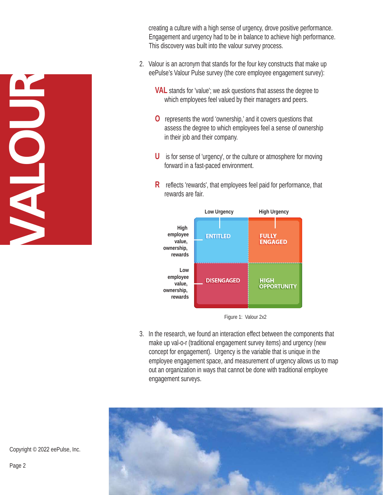**VALOUR**

 creating a culture with a high sense of urgency, drove positive performance. Engagement and urgency had to be in balance to achieve high performance. This discovery was built into the valour survey process.

- 2. Valour is an acronym that stands for the four key constructs that make up eePulse's Valour Pulse survey (the core employee engagement survey):
	- **VAL** stands for 'value'; we ask questions that assess the degree to which employees feel valued by their managers and peers .
	- **O** represents the word 'ownership,' and it covers questions that assess the degree to which employees feel a sense of ownership in their job and their company.
	- U is for sense of 'urgency', or the culture or atmosphere for moving forward in a fast-paced environment.
	- R reflects 'rewards', that employees feel paid for performance, that rewards are fair.



Figure 1: Valour 2x2

3. In the research, we found an interaction effect between the components that make up val-o-r (traditional engagement survey items) and urgency (new concept for engagement). Urgency is the variable that is unique in the employee engagement space, and measurement of urgency allows us to map out an organization in ways that cannot be done with traditional employee engagement surveys.



Copyright © 2022 eePulse, Inc.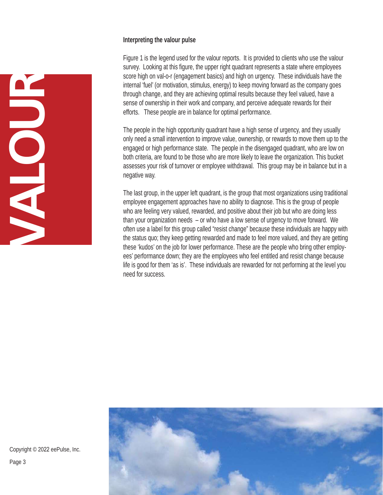#### **Interpreting the valour pulse**

**VALOUR**

Figure 1 is the legend used for the valour reports. It is provided to clients who use the valour survey. Looking at this figure, the upper right quadrant represents a state where employees score high on val-o-r (engagement basics) and high on urgency. These individuals have the internal 'fuel' (or motivation, stimulus, energy) to keep moving forward as the company goes through change, and they are achieving optimal results because they feel valued, have a sense of ownership in their work and company, and perceive adequate rewards for their efforts. These people are in balance for optimal performance.

The people in the high opportunity quadrant have a high sense of urgency, and they usually only need a small intervention to improve value, ownership, or rewards to move them up to the engaged or high performance state. The people in the disengaged quadrant, who are low on both criteria, are found to be those who are more likely to leave the organization. This bucket assesses your risk of turnover or employee withdrawal. This group may be in balance but in a negative way.

The last group, in the upper left quadrant, is the group that most organizations using traditional employee engagement approaches have no ability to diagnose. This is the group of people who are feeling very valued, rewarded, and positive about their job but who are doing less than your organization needs – or who have a low sense of urgency to move forward. We often use a label for this group called "resist change" because these individuals are happy with the status quo; they keep getting rewarded and made to feel more valued, and they are getting these 'kudos' on the job for lower performance. These are the people who bring other employees' performance down; they are the employees who feel entitled and resist change because life is good for them 'as is'. These individuals are rewarded for not performing at the level you need for success.



Copyright © 2022 eePulse, Inc.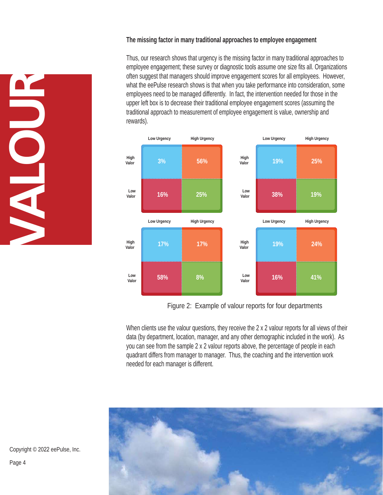#### **The missing factor in many traditional approaches to employee engagement**

Thus, our research shows that urgency is the missing factor in many traditional approaches to employee engagement; these survey or diagnostic tools assume one size fits all. Organizations often suggest that managers should improve engagement scores for all employees. However, what the eePulse research shows is that when you take performance into consideration, some employees need to be managed differently. In fact, the intervention needed for those in the upper left box is to decrease their traditional employee engagement scores (assuming the traditional approach to measurement of employee engagement is value, ownership and rewards).



Figure 2: Example of valour reports for four departments

When clients use the valour questions, they receive the 2 x 2 valour reports for all views of their data (by department, location, manager, and any other demographic included in the work). As you can see from the sample 2 x 2 valour reports above, the percentage of people in each quadrant differs from manager to manager. Thus, the coaching and the intervention work needed for each manager is different.



Copyright © 2022 eePulse, Inc.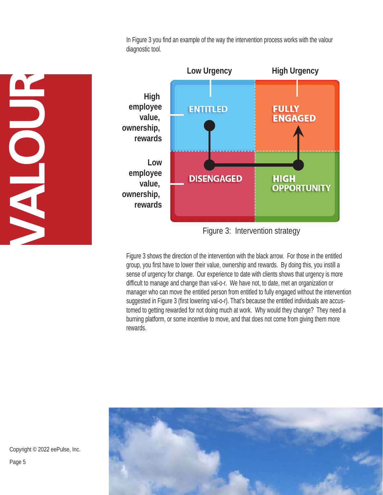In Figure 3 you find an example of the way the intervention process works with the valour diagnostic tool.



Figure 3: Intervention strategy

Figure 3 shows the direction of the intervention with the black arrow. For those in the entitled group, you first have to lower their value, ownership and rewards. By doing this, you instill a sense of urgency for change. Our experience to date with clients shows that urgency is more difficult to manage and change than val-o-r. We have not, to date, met an organization or manager who can move the entitled person from entitled to fully engaged without the intervention suggested in Figure 3 (first lowering val-o-r). That's because the entitled individuals are accustomed to getting rewarded for not doing much at work. Why would they change? They need a burning platform, or some incentive to move, and that does not come from giving them more rewards.





Copyright © 2022 eePulse, Inc. Page 5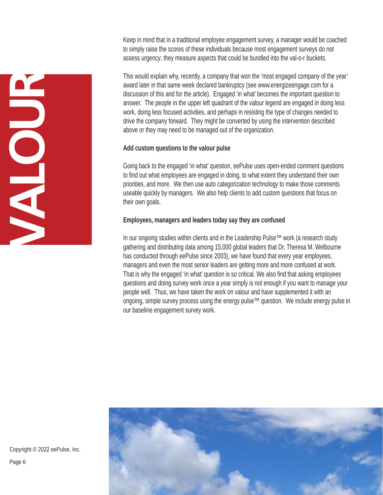Keep in mind that in a traditional employee engagement survey, a manager would be coached to simply raise the scores of these individuals because most engagement surveys do not assess urgency; they measure aspects that could be bundled into the val-o-r buckets.

This would explain why, recently, a company that won the 'most engaged company of the year' award later in that same week declared bankruptcy (see www.energizeengage.com for a discussion of this and for the article). Engaged 'in what' becomes the important question to answer. The people in the upper left quadrant of the valour legend are engaged in doing less work, doing less focused activities, and perhaps in resisting the type of changes needed to drive the company forward. They might be converted by using the intervention described above or they may need to be managed out of the organization.

#### **Add custom questions to the valour pulse**

Going back to the engaged 'in what' question, eePulse uses open-ended comment questions to find out what employees are engaged in doing, to what extent they understand their own priorities, and more. We then use auto categorization technology to make those comments useable quickly by managers. We also help clients to add custom questions that focus on their own goals.

#### **Employees, managers and leaders today say they are confused**

In our ongoing studies within clients and in the Leadership Pulse™ work (a research study gathering and distributing data among 15,000 global leaders that Dr. Theresa M. Welbourne has conducted through eePulse since 2003), we have found that every year employees, managers and even the most senior leaders are getting more and more confused at work. That is why the engaged 'in what' question is so critical. We also find that asking employees questions and doing survey work once a year simply is not enough if you want to manage your people well. Thus, we have taken the work on valour and have supplemented it with an ongoing, simple survey process using the energy pulse™ question. We include energy pulse in our baseline engagement survey work.



Copyright © 2022 eePulse, Inc. Page 6

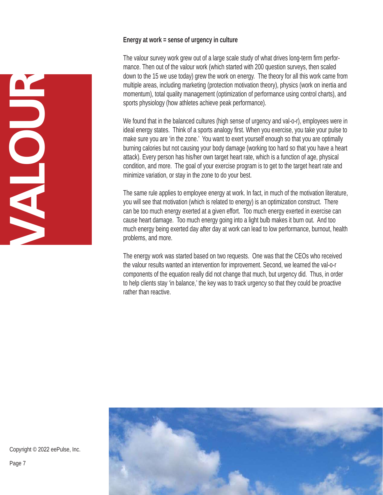#### **Energy at work = sense of urgency in culture**



The valour survey work grew out of a large scale study of what drives long-term firm performance. Then out of the valour work (which started with 200 question surveys, then scaled down to the 15 we use today) grew the work on energy. The theory for all this work came from multiple areas, including marketing (protection motivation theory), physics (work on inertia and momentum), total quality management (optimization of performance using control charts), and sports physiology (how athletes achieve peak performance).

We found that in the balanced cultures (high sense of urgency and val-o-r), employees were in ideal energy states. Think of a sports analogy first. When you exercise, you take your pulse to make sure you are 'in the zone.' You want to exert yourself enough so that you are optimally burning calories but not causing your body damage (working too hard so that you have a heart attack). Every person has his/her own target heart rate, which is a function of age, physical condition, and more. The goal of your exercise program is to get to the target heart rate and minimize variation, or stay in the zone to do your best.

The same rule applies to employee energy at work. In fact, in much of the motivation literature, you will see that motivation (which is related to energy) is an optimization construct. There can be too much energy exerted at a given effort. Too much energy exerted in exercise can cause heart damage. Too much energy going into a light bulb makes it burn out. And too much energy being exerted day after day at work can lead to low performance, burnout, health problems, and more.

The energy work was started based on two requests. One was that the CEOs who received the valour results wanted an intervention for improvement. Second, we learned the val-o-r components of the equation really did not change that much, but urgency did. Thus, in order to help clients stay 'in balance,' the key was to track urgency so that they could be proactive rather than reactive.



Copyright © 2022 eePulse, Inc.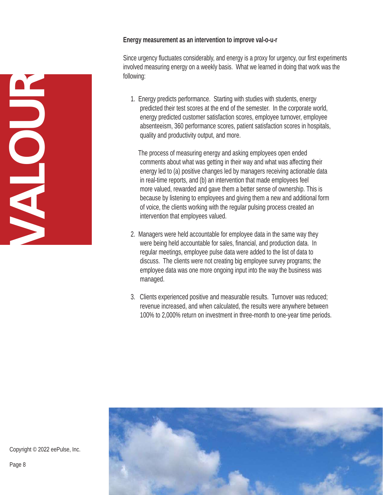#### **Energy measurement as an intervention to improve val-o-u-r**

Since urgency fluctuates considerably, and energy is a proxy for urgency, our first experiments involved measuring energy on a weekly basis. What we learned in doing that work was the following:

1. Energy predicts performance. Starting with studies with students, energy predicted their test scores at the end of the semester. In the corporate world, energy predicted customer satisfaction scores, employee turnover, employee absenteeism, 360 performance scores, patient satisfaction scores in hospitals, quality and productivity output, and more.

The process of measuring energy and asking employees open ended comments about what was getting in their way and what was affecting their energy led to (a) positive changes led by managers receiving actionable data in real-time reports, and (b) an intervention that made employees feel more valued, rewarded and gave them a better sense of ownership. This is because by listening to employees and giving them a new and additional form of voice, the clients working with the regular pulsing process created an intervention that employees valued.

- 2. Managers were held accountable for employee data in the same way they were being held accountable for sales, financial, and production data. In regular meetings, employee pulse data were added to the list of data to discuss. The clients were not creating big employee survey programs; the employee data was one more ongoing input into the way the business was managed.
- 3. Clients experienced positive and measurable results. Turnover was reduced; revenue increased, and when calculated, the results were anywhere between 100% to 2,000% return on investment in three-month to one-year time periods.



Copyright © 2022 eePulse, Inc.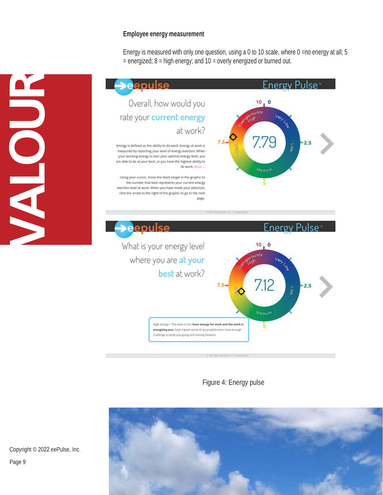#### **Employee energy measurement**

Energy is measured with only one question, using a 0 to 10 scale, where 0 =no energy at all; 5  $=$  energized;  $8 =$  high energy; and  $10 =$  overly energized or burned out.



Figure 4: Energy pulse



Copyright © 2022 eePulse, Inc.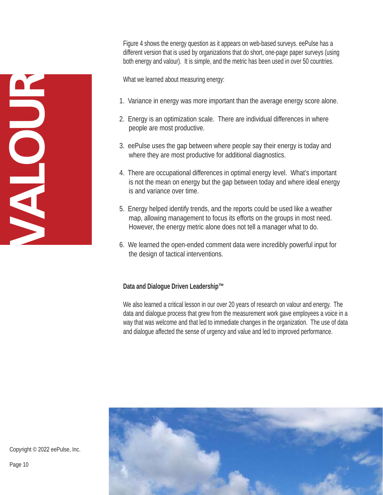Figure 4 shows the energy question as it appears on web-based surveys. eePulse has a different version that is used by organizations that do short, one-page paper surveys (using both energy and valour). It is simple, and the metric has been used in over 50 countries.

What we learned about measuring energy:

- 1. Variance in energy was more important than the average energy score alone.
- 2. Energy is an optimization scale. There are individual differences in where people are most productive.
- 3. eePulse uses the gap between where people say their energy is today and where they are most productive for additional diagnostics.
- 4. There are occupational differences in optimal energy level. What's important is not the mean on energy but the gap between today and where ideal energy is and variance over time.
- 5. Energy helped identify trends, and the reports could be used like a weather map, allowing management to focus its efforts on the groups in most need. However, the energy metric alone does not tell a manager what to do.
- 6. We learned the open-ended comment data were incredibly powerful input for the design of tactical interventions.

## **Data and Dialogue Driven Leadership™**

We also learned a critical lesson in our over 20 years of research on valour and energy. The data and dialogue process that grew from the measurement work gave employees a voice in a way that was welcome and that led to immediate changes in the organization. The use of data and dialogue affected the sense of urgency and value and led to improved performance.



Copyright © 2022 eePulse, Inc.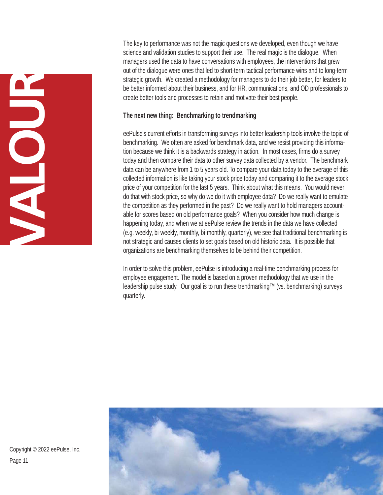**VALOUR**

The key to performance was not the magic questions we developed, even though we have science and validation studies to support their use. The real magic is the dialogue. When managers used the data to have conversations with employees, the interventions that grew out of the dialogue were ones that led to short-term tactical performance wins and to long-term strategic growth. We created a methodology for managers to do their job better, for leaders to be better informed about their business, and for HR, communications, and OD professionals to create better tools and processes to retain and motivate their best people.

#### **The next new thing: Benchmarking to trendmarking**

eePulse's current efforts in transforming surveys into better leadership tools involve the topic of benchmarking. We often are asked for benchmark data, and we resist providing this information because we think it is a backwards strategy in action. In most cases, firms do a survey today and then compare their data to other survey data collected by a vendor. The benchmark data can be anywhere from 1 to 5 years old. To compare your data today to the average of this collected information is like taking your stock price today and comparing it to the average stock price of your competition for the last 5 years. Think about what this means. You would never do that with stock price, so why do we do it with employee data? Do we really want to emulate the competition as they performed in the past? Do we really want to hold managers accountable for scores based on old performance goals? When you consider how much change is happening today, and when we at eePulse review the trends in the data we have collected (e.g. weekly, bi-weekly, monthly, bi-monthly, quarterly), we see that traditional benchmarking is not strategic and causes clients to set goals based on old historic data. It is possible that organizations are benchmarking themselves to be behind their competition.

In order to solve this problem, eePulse is introducing a real-time benchmarking process for employee engagement. The model is based on a proven methodology that we use in the leadership pulse study. Our goal is to run these trendmarking™ (vs. benchmarking) surveys quarterly.



Copyright © 2022 eePulse, Inc. Page 11